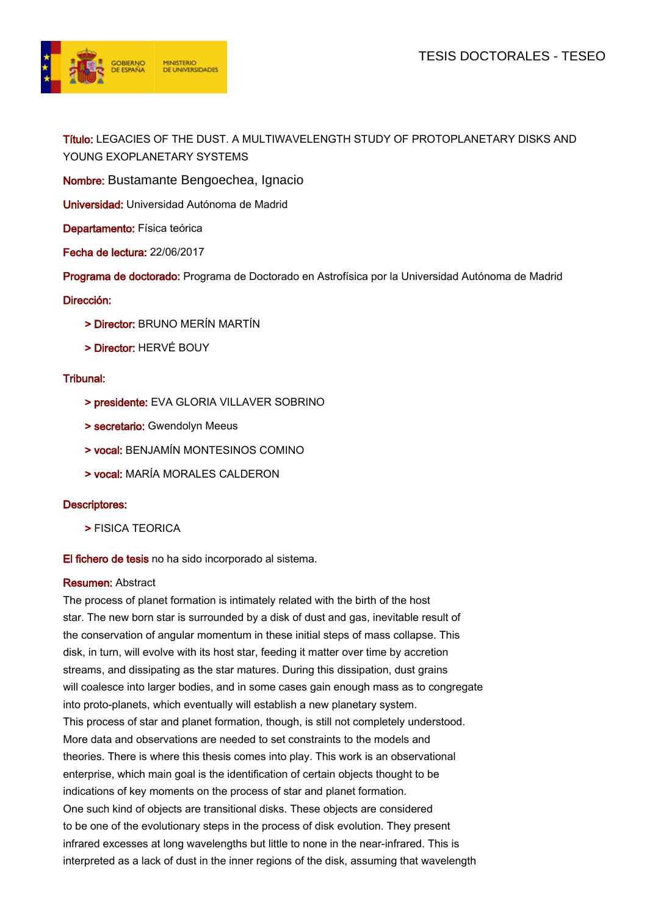

Título: LEGACIES OF THE DUST. A MULTIWAVELENGTH STUDY OF PROTOPLANETARY DISKS AND YOUNG EXOPLANETARY SYSTEMS

Nombre: Bustamante Bengoechea, Ignacio

Universidad: Universidad Autónoma de Madrid

Departamento: Física teórica

Fecha de lectura: 22/06/2017

Programa de doctorado: Programa de Doctorado en Astrofísica por la Universidad Autónoma de Madrid

## Dirección:

- > Director: BRUNO MERÍN MARTÍN
- > Director: HERVÉ BOUY

## Tribunal:

- > presidente: EVA GLORIA VILLAVER SOBRINO
- > secretario: Gwendolyn Meeus
- > vocal: BENJAMÍN MONTESINOS COMINO
- > vocal: MARÍA MORALES CALDERON

## Descriptores:

> FISICA TEORICA

El fichero de tesis no ha sido incorporado al sistema.

#### Resumen: Abstract

The process of planet formation is intimately related with the birth of the host star. The new born star is surrounded by a disk of dust and gas, inevitable result of the conservation of angular momentum in these initial steps of mass collapse. This disk, in turn, will evolve with its host star, feeding it matter over time by accretion streams, and dissipating as the star matures. During this dissipation, dust grains will coalesce into larger bodies, and in some cases gain enough mass as to congregate into proto-planets, which eventually will establish a new planetary system. This process of star and planet formation, though, is still not completely understood. More data and observations are needed to set constraints to the models and theories. There is where this thesis comes into play. This work is an observational enterprise, which main goal is the identification of certain objects thought to be indications of key moments on the process of star and planet formation. One such kind of objects are transitional disks. These objects are considered to be one of the evolutionary steps in the process of disk evolution. They present infrared excesses at long wavelengths but little to none in the near-infrared. This is interpreted as a lack of dust in the inner regions of the disk, assuming that wavelength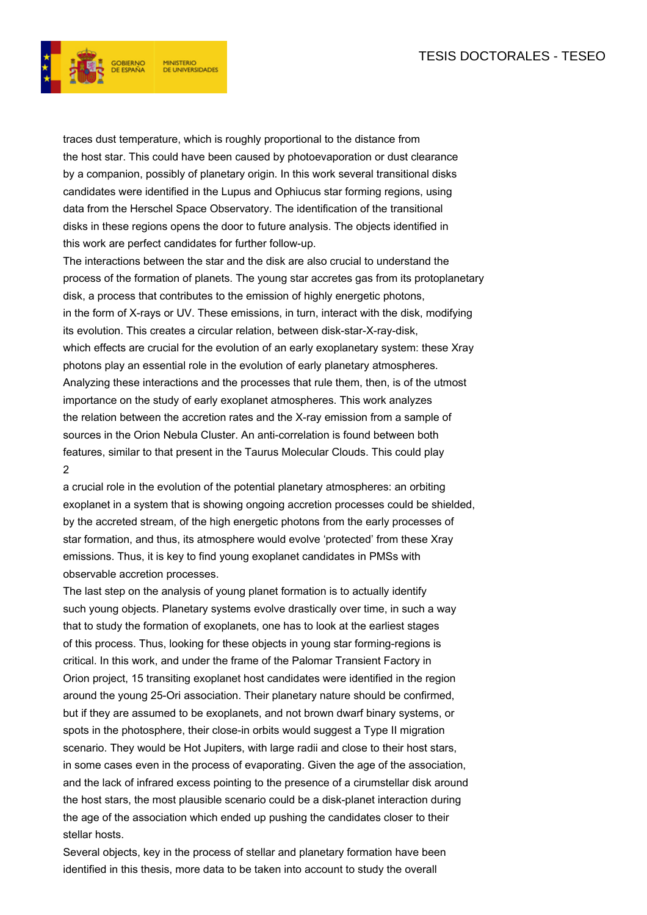

traces dust temperature, which is roughly proportional to the distance from the host star. This could have been caused by photoevaporation or dust clearance by a companion, possibly of planetary origin. In this work several transitional disks candidates were identified in the Lupus and Ophiucus star forming regions, using data from the Herschel Space Observatory. The identification of the transitional disks in these regions opens the door to future analysis. The objects identified in this work are perfect candidates for further follow-up.

The interactions between the star and the disk are also crucial to understand the process of the formation of planets. The young star accretes gas from its protoplanetary disk, a process that contributes to the emission of highly energetic photons, in the form of X-rays or UV. These emissions, in turn, interact with the disk, modifying its evolution. This creates a circular relation, between disk-star-X-ray-disk, which effects are crucial for the evolution of an early exoplanetary system: these Xray photons play an essential role in the evolution of early planetary atmospheres. Analyzing these interactions and the processes that rule them, then, is of the utmost importance on the study of early exoplanet atmospheres. This work analyzes the relation between the accretion rates and the X-ray emission from a sample of sources in the Orion Nebula Cluster. An anti-correlation is found between both features, similar to that present in the Taurus Molecular Clouds. This could play 2

a crucial role in the evolution of the potential planetary atmospheres: an orbiting exoplanet in a system that is showing ongoing accretion processes could be shielded, by the accreted stream, of the high energetic photons from the early processes of star formation, and thus, its atmosphere would evolve 'protected' from these Xray emissions. Thus, it is key to find young exoplanet candidates in PMSs with observable accretion processes.

The last step on the analysis of young planet formation is to actually identify such young objects. Planetary systems evolve drastically over time, in such a way that to study the formation of exoplanets, one has to look at the earliest stages of this process. Thus, looking for these objects in young star forming-regions is critical. In this work, and under the frame of the Palomar Transient Factory in Orion project, 15 transiting exoplanet host candidates were identified in the region around the young 25-Ori association. Their planetary nature should be confirmed, but if they are assumed to be exoplanets, and not brown dwarf binary systems, or spots in the photosphere, their close-in orbits would suggest a Type II migration scenario. They would be Hot Jupiters, with large radii and close to their host stars, in some cases even in the process of evaporating. Given the age of the association, and the lack of infrared excess pointing to the presence of a cirumstellar disk around the host stars, the most plausible scenario could be a disk-planet interaction during the age of the association which ended up pushing the candidates closer to their stellar hosts.

Several objects, key in the process of stellar and planetary formation have been identified in this thesis, more data to be taken into account to study the overall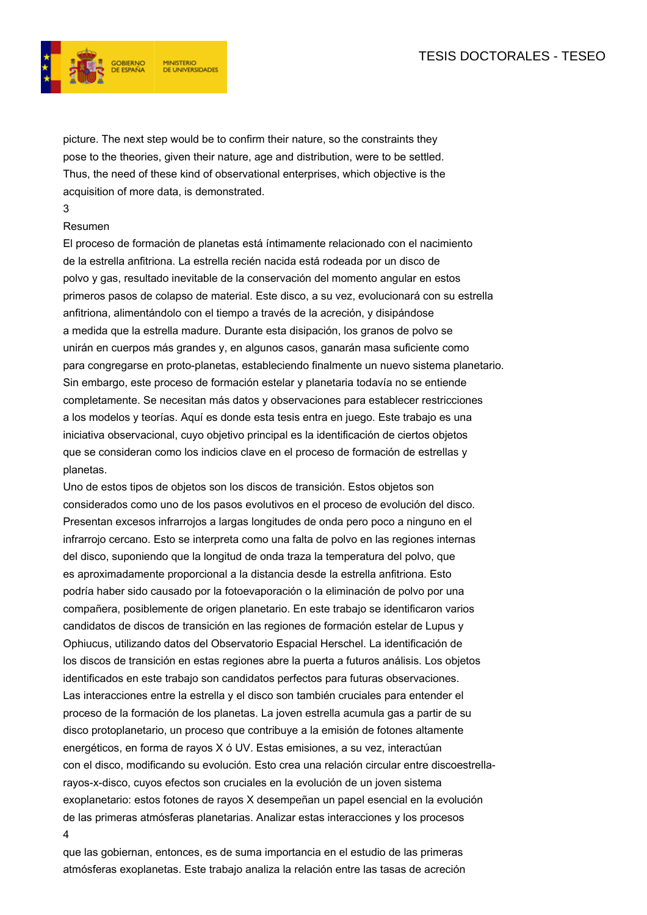## TESIS DOCTORALES - TESEO



picture. The next step would be to confirm their nature, so the constraints they pose to the theories, given their nature, age and distribution, were to be settled. Thus, the need of these kind of observational enterprises, which objective is the acquisition of more data, is demonstrated.

# 3

#### Resumen

El proceso de formación de planetas está íntimamente relacionado con el nacimiento de la estrella anfitriona. La estrella recién nacida está rodeada por un disco de polvo y gas, resultado inevitable de la conservación del momento angular en estos primeros pasos de colapso de material. Este disco, a su vez, evolucionará con su estrella anfitriona, alimentándolo con el tiempo a través de la acreción, y disipándose a medida que la estrella madure. Durante esta disipación, los granos de polvo se unirán en cuerpos más grandes y, en algunos casos, ganarán masa suficiente como para congregarse en proto-planetas, estableciendo finalmente un nuevo sistema planetario. Sin embargo, este proceso de formación estelar y planetaria todavía no se entiende completamente. Se necesitan más datos y observaciones para establecer restricciones a los modelos y teorías. Aquí es donde esta tesis entra en juego. Este trabajo es una iniciativa observacional, cuyo objetivo principal es la identificación de ciertos objetos que se consideran como los indicios clave en el proceso de formación de estrellas y planetas.

Uno de estos tipos de objetos son los discos de transición. Estos objetos son considerados como uno de los pasos evolutivos en el proceso de evolución del disco. Presentan excesos infrarrojos a largas longitudes de onda pero poco a ninguno en el infrarrojo cercano. Esto se interpreta como una falta de polvo en las regiones internas del disco, suponiendo que la longitud de onda traza la temperatura del polvo, que es aproximadamente proporcional a la distancia desde la estrella anfitriona. Esto podría haber sido causado por la fotoevaporación o la eliminación de polvo por una compañera, posiblemente de origen planetario. En este trabajo se identificaron varios candidatos de discos de transición en las regiones de formación estelar de Lupus y Ophiucus, utilizando datos del Observatorio Espacial Herschel. La identificación de los discos de transición en estas regiones abre la puerta a futuros análisis. Los objetos identificados en este trabajo son candidatos perfectos para futuras observaciones. Las interacciones entre la estrella y el disco son también cruciales para entender el proceso de la formación de los planetas. La joven estrella acumula gas a partir de su disco protoplanetario, un proceso que contribuye a la emisión de fotones altamente energéticos, en forma de rayos X ó UV. Estas emisiones, a su vez, interactúan con el disco, modificando su evolución. Esto crea una relación circular entre discoestrellarayos-x-disco, cuyos efectos son cruciales en la evolución de un joven sistema exoplanetario: estos fotones de rayos X desempeñan un papel esencial en la evolución de las primeras atmósferas planetarias. Analizar estas interacciones y los procesos 4

que las gobiernan, entonces, es de suma importancia en el estudio de las primeras atmósferas exoplanetas. Este trabajo analiza la relación entre las tasas de acreción